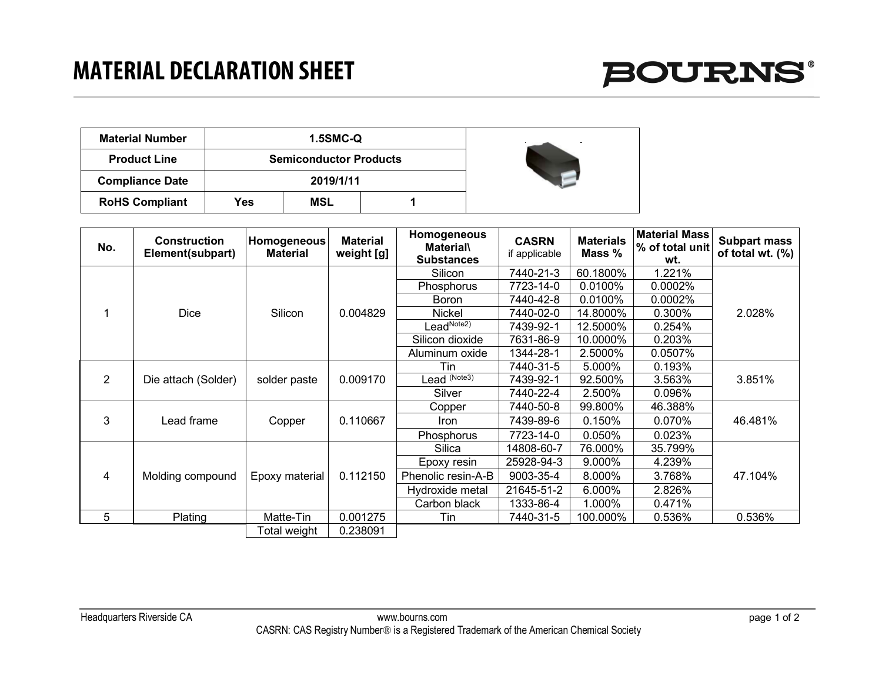

| <b>Material Number</b> |     | <b>1.5SMC-Q</b>               |  |  |
|------------------------|-----|-------------------------------|--|--|
| <b>Product Line</b>    |     | <b>Semiconductor Products</b> |  |  |
| <b>Compliance Date</b> |     | 2019/1/11                     |  |  |
| <b>RoHS Compliant</b>  | Yes | MSL                           |  |  |

| No. | <b>Construction</b><br>Element(subpart) | <b>Homogeneous</b><br><b>Material</b> | <b>Material</b><br>weight [g] | Homogeneous<br><b>Material</b><br><b>Substances</b> | <b>CASRN</b><br>if applicable | <b>Materials</b><br>Mass % | <b>Material Mass</b><br>% of total unit<br>wt. | <b>Subpart mass</b><br>of total wt. (%) |
|-----|-----------------------------------------|---------------------------------------|-------------------------------|-----------------------------------------------------|-------------------------------|----------------------------|------------------------------------------------|-----------------------------------------|
|     |                                         | Silicon                               | 0.004829                      | Silicon                                             | 7440-21-3                     | 60.1800%                   | 1.221%                                         | 2.028%                                  |
|     |                                         |                                       |                               | <b>Phosphorus</b>                                   | 7723-14-0                     | 0.0100%                    | 0.0002%                                        |                                         |
|     |                                         |                                       |                               | <b>Boron</b>                                        | 7440-42-8                     | 0.0100%                    | 0.0002%                                        |                                         |
|     | Dice                                    |                                       |                               | Nickel                                              | 7440-02-0                     | 14.8000%                   | 0.300%                                         |                                         |
|     |                                         |                                       |                               | LeadNote2)                                          | 7439-92-1                     | 12.5000%                   | 0.254%                                         |                                         |
|     |                                         |                                       |                               | Silicon dioxide                                     | 7631-86-9                     | 10.0000%                   | 0.203%                                         |                                         |
|     |                                         |                                       |                               | Aluminum oxide                                      | 1344-28-1                     | 2.5000%                    | $0.0507\%$                                     |                                         |
| 2   | Die attach (Solder)                     | solder paste                          | 0.009170                      | Tin                                                 | 7440-31-5                     | 5.000%                     | 0.193%                                         | 3.851%                                  |
|     |                                         |                                       |                               | Lead <sup>(Note3)</sup>                             | 7439-92-1                     | 92.500%                    | 3.563%                                         |                                         |
|     |                                         |                                       |                               | Silver                                              | 7440-22-4                     | 2.500%                     | 0.096%                                         |                                         |
| 3   | Lead frame                              | Copper                                | 0.110667                      | Copper                                              | 7440-50-8                     | 99.800%                    | 46.388%                                        | 46.481%                                 |
|     |                                         |                                       |                               | Iron                                                | 7439-89-6                     | $0.150\%$                  | 0.070%                                         |                                         |
|     |                                         |                                       |                               | Phosphorus                                          | 7723-14-0                     | 0.050%                     | 0.023%                                         |                                         |
| 4   | Molding compound                        | Epoxy material                        | 0.112150                      | Silica                                              | 14808-60-7                    | 76.000%                    | 35.799%                                        | 47.104%                                 |
|     |                                         |                                       |                               | Epoxy resin                                         | 25928-94-3                    | 9.000%                     | 4.239%                                         |                                         |
|     |                                         |                                       |                               | Phenolic resin-A-B                                  | 9003-35-4                     | 8.000%                     | 3.768%                                         |                                         |
|     |                                         |                                       |                               | Hydroxide metal                                     | 21645-51-2                    | 6.000%                     | 2.826%                                         |                                         |
|     |                                         |                                       |                               | Carbon black                                        | 1333-86-4                     | 1.000%                     | 0.471%                                         |                                         |
| 5   | Plating                                 | Matte-Tin                             | 0.001275                      | Tin                                                 | 7440-31-5                     | 100.000%                   | 0.536%                                         | 0.536%                                  |
|     |                                         | Total weight                          | 0.238091                      |                                                     |                               |                            |                                                |                                         |